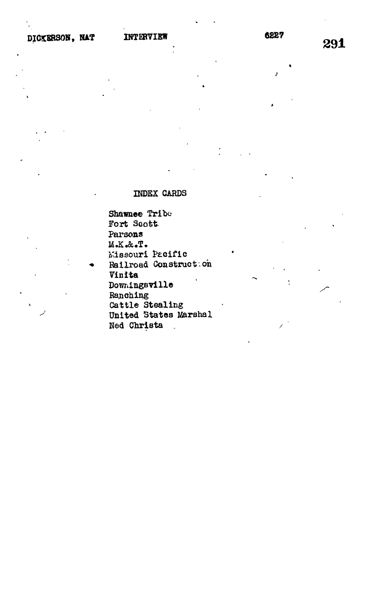# INDEX CARDS

Shawnee Tribe Fort Soott Parsons M.K.&.T. Missouri Pacific Railroad Construct: on Vinita Downingsville Ranching Cattle Stealing United States Marshal Ned Christa  $\mathbb{Z}$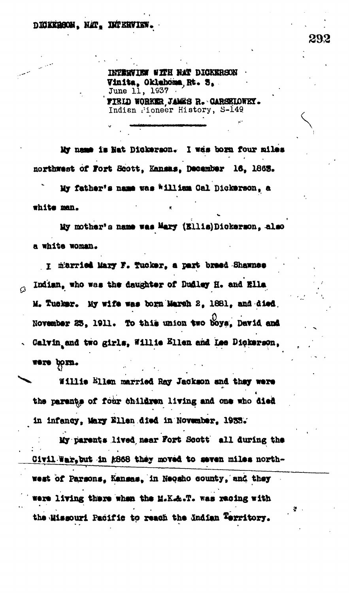INTERVIEW WITH NAT DICKERSON Vinita, Oklahoma Rt. S. . June 11, 1937 FIELD WORKER JANKS R. CARSELOWET.

Indian Pioneer History, S-149

My name is Nat Dickerson. I was born four miles northwest of Fort Scott, Kansas, December 16, 1865.

My father's name was william Oal Dickerson, a white man.

My mother's name was Mary (Ellis) Dickerson, also a white woman.

I m'arried Mary F. Tucker, a part breed Shawnes Indian, who was the daughter of Dudley H. and Ella  $\Omega$ M. Tucker. My wife was born March 2, 1881, and died. November 23, 1911. To this union two boys, David and Calvin and two girls, Willie Ellen and Lee Dickerson. were born.

Willie Ellen married Ray Jackson and they were the parents of four children living and one who died in infancy, Mary Ellen died in November. 1933.

My parents lived near Fort Scott' all during the Civil War, but in #868 they moved to seven miles northwest of Parsons, Kansas, in Neosho county, and they were living there when the M.K.A.T. was recing with the Missouri Pacific to reach the Indian Territory.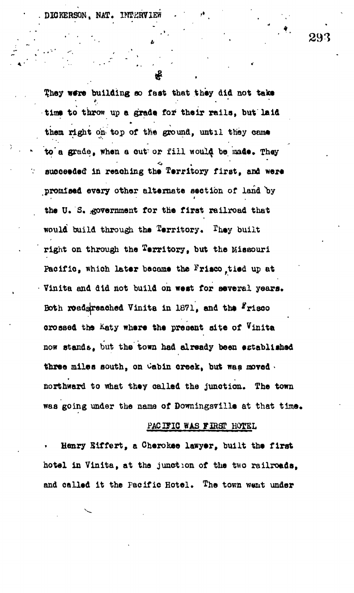DICKERSON, NAT. IMPERV

Ņ

**time to throw up a grade for their rails, but laid** them right on top of the ground, until they came to a grade, when a cut or fill would be made. They **\* to a grade, when a out<sup>r</sup> or fil l would^ be made\* They '• auooeeded in reaching the Territory first, and were promised every other alternate seetion of land 'by the U.S. .-governing for the first railroad that the first railroad that the first railroad that the first rail would be the Territory,**  $\frac{1}{\sqrt{2}}$ Pacific, which later became the Frisco tied up at **Pacific, which later bo came the Frisco,tied up at • Vinita and did not build on west for several years\* Both xoedsjreaehed Vinita in 1871, and the ^risoo crossed the &aty where the present site of Vinita now standfr, but the town had already been established** three miles south, on Cabin creek, but was moved. **three miles south, on Cabin creek, but was moved •** northward to what they called the junction. The town **northward to what they called the junction. The town**

They were building so fast that they did not take

# PACIFIC WAS FIRST HOTEL **PACZglO WAS FIRg? HOTEL**

Henry Eiffert, a Cherokee lawyer, built the first **Henry Siffert, a Cherokee lawyer, built the first** hotel in Vinita, at the junction of the two railroads. **hotel in Vinita, at the junction of the two railroads,**

**was going under the name of Downingsville at that time\***

was going under the name of Downingsville at that time.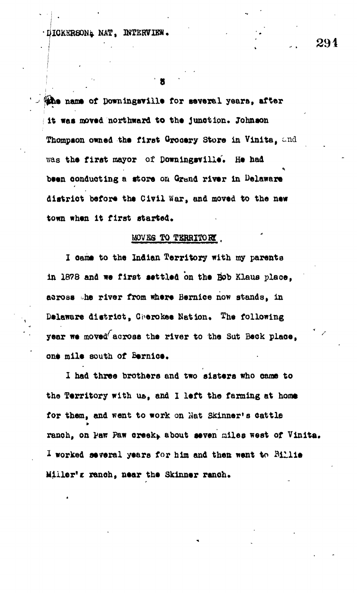DICKERSON& NAT, INTERVIEW.

**ihe name of Downingsville for several years, after** it was moved northward to the junction. Johnson Thompson owned the first Grocery Store in Vinita, and **was the first mayor of Downingsvill\*. He had been oonduoting a store on Grand river in Delaware** district before the Civil War, and moved to the new town when it first started.

## **MOVES TO TERRITORY**.

**I oame to the Indian Territory with my parents in 1878 and we first settled on the Bob Klaus plaoe, across .he river from where Beraice now stands, in Delaware district, Cherokee Nation. The following year we moved^across the river to the Sat Beck place,** one mile south of **Bernice**.

I had three brothers and two sisters who came to the **Territory** with us, and I left the farming at home **for them, and went to work on Mat Skinner's Cattle** ranch, on Paw Paw creek, about seven miles west of Vinita. I worked several years for him and then went to Billie **Miller'e r&noh, near the Skinner ranch.**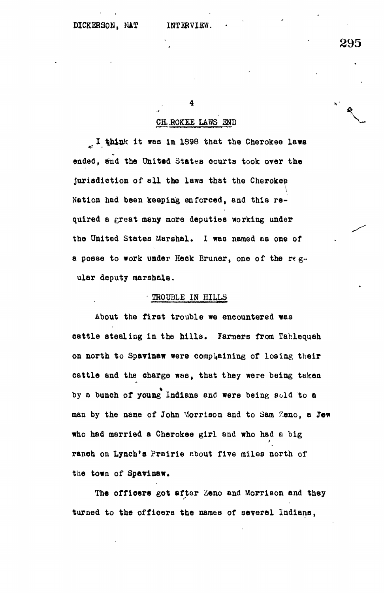**4**

### **CH. ROKEE LAWS END**

I think it was in 1898 that the Cherokee laws ended, and the United States courts took over the **jurisdiction of all the laws that the Cherokep Nation had been keeping enforced, and this required a great many more deputies working under the United States Marshal. I was named as one of a posse to work under Heck Bruner, one of the regular deputy marsholB.**

# **• TROUBLE IN BILLS**

**About the first trouble we encountered was cattle stealing in the hills. Farmers from Tahlequeh on north to Spavinaw were complaining of losing their cattle and the charge was, that they were being taken by a bunch of young Indians and were being sold to a man by the name of John Morrison and to Sam Zeno, a Jew who had married a Cherokee girl and who had a big ranch on Lynch's Prairie about five miles north of the town of Spavinaw.**

**The officers got after Zeno and Morrison and they turned to the officers the names of several Indians,**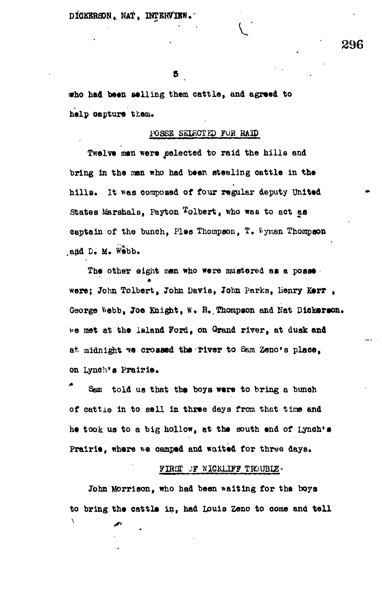DICKERSON, NAT, INTERVIEW.

Б

**\*ho had been selling them cattle, and agreed to** help capture them.

# **PQSSB SUECTED FOB RAID**

Twelve men were selected to raid the hills and **bring in the men who had been stealing cattle in the hills. It v»as composed of four regular deputy United** States Marshals, Payton Folbert, who was to act as **captain of the bunch, Ples Thompson, T. Wyman Thompson** and D. M. Webb.

The other eight men who were mustered as a posse **were; John Tolbert, John Davis, John parks, lienry K»rr ,** George Webb, Joe Knight, W. R. Thompson and Nat Dickerson. **wo met at the island Ford, on Grand river, at dusk and** at midnight we crossed the river to Sam Zeno's place, **on Lynch\*s Prairie.**

**Sam told us that the boys were to bring a bunoh of cattle in to sell in three days from that tine and he took us to a big hollow, at the south end of Lynch's** Prairie, where we camped and waited for three days.

# **FIB3T JF WICKLIF? TROUBIS\***

**John Morrison, who had been waiting for the boya** to bring the cattle in, had Louis Zeno to come and tell X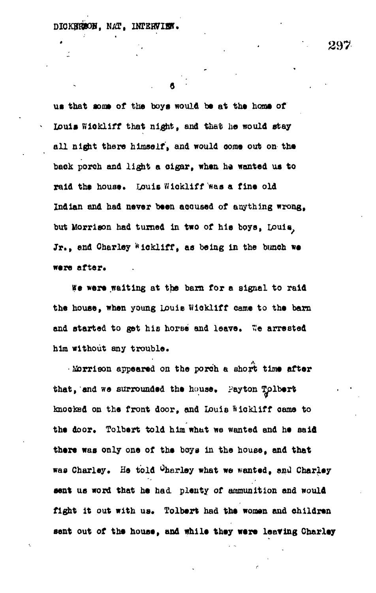**us that some of the boys would be at the horns of Louis Wiokliff that night, and that ho would stay all night there himself, and would come out on the.** back porch and light a cigar, when he wanted us to raid the house. Louis Wickliff was a fine old **Indian and had never been accused of anything wrong, but Morrison had turned in two of his boys, Louis^** Jr., and Charley Wickliff, as being in the bunch we **were** after.

**We were waiting at the barn for a signal to raid the house, when young Louie Wiokliff came to the barn** and started to get his horse and leave. We arrested **him without any trouble.**

**• Morrison appeared on the porch a short time after** that, and we surrounded the house. Payton Tolbert **knooted on the front door, and Louis ftlckliff came to** the door. Tolbert told him what we wanted and he said **there was only one of the boys in the house, and that** was Charley. He told Charley what we wanted, and Charley **sent us word that he had. plenty of ammunition and would** fight it out with us. Tolbert had the women and children **sent out of the house, and while they were leaving Charley**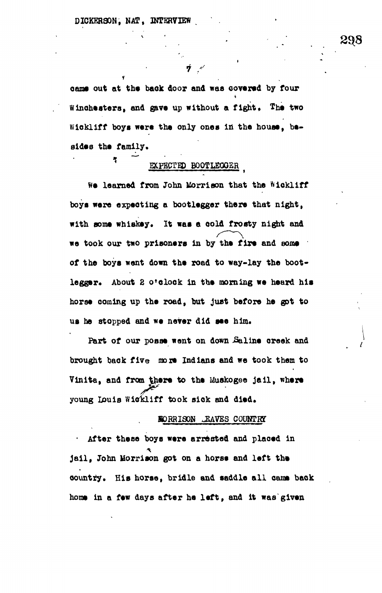**came out at the back door and was covered by four Winchesters, and gave up without a fight. The two Wiokliff boys were the only ones in the house, besides the family.**

**i /••-**

# **EXPECTED BOOTLEGGER**

**We learned from John Morrison that the Wiokliff boys were expecting a bootlegger there that night,** with some whiskey. It was a cold frosty night and we took our two prisoners in by the fire and some **of the boys went down the road to way-lay the boot**legger. About 2 o'clock in the morning we heard his **horse coming up the road, but just before he got to us he stopped and we never did see him.**

Part of our posse went on down Saline creek and brought back five more Indians and we took them to Vinita, and from there to the Muskogee jail, where **young Louie Wickliff took siok and died\***

#### **BORRISON EAVES COUNTRY**

**- After these boys were arrested and placed in jail , John Morrison got on a horse and left the** country. His horse, bridle and saddle all came back home in a few days after he left, and it was given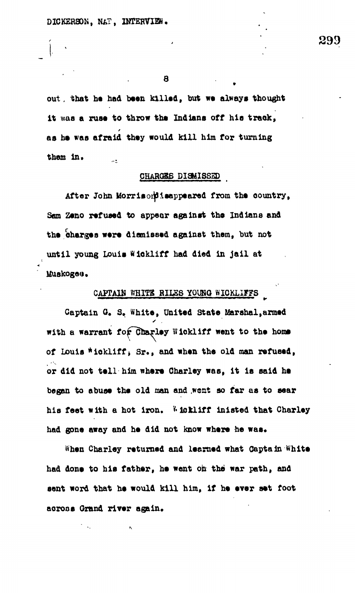**out, ihat be had been killed, but we always thought it was a ruse to throw the Indians off his traok,** as he was afraid they would kill him for turning them in.  $\sim t$ 

#### **CHARQSS DISMISSED \_**

**After John Morrisoipisappeared from the country,** Sam Zeno refused to appear against the Indians and the charges were dismissed against them, but not until young Louis Wickliff had died in jail at **MuBkogod.**

# CAPTAIN WHITE RILES YOUNG WIOKLIFFS

**Captain G. 3. White, United State Marshal,armed** with a warrant for Charley Wickliff went to the home **of Louis \*ickliff» Sr., and when the old man refused,** or did not tell him where Charley was, it is said he began to abuse the old man and went so far as to sear his feet with a hot iron. Whokliff inisted that Charley had gone away and he did not know where he was.

**When Charley returned and leemed what Captain White had done to his father , he want oh the' war path, and** sent word that he would kill him, if he ever set foot across Grand river again.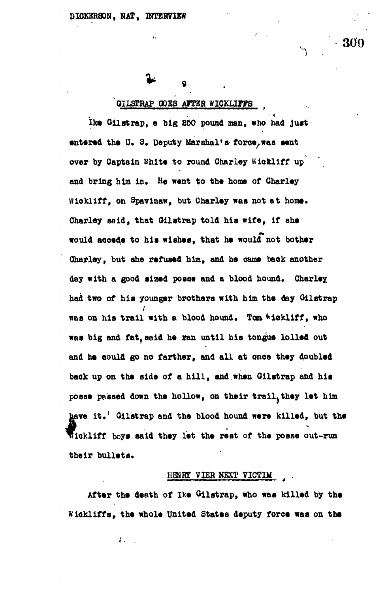# **QIL3TRAP Q0B3 ATTBR WIQKLIIF8 ,**

 $\boldsymbol{Q}$ 

**Ike Oil at rap, a big £50 pound man, who had just** entered the U. S. Deputy Marshal's force, was sent over by Captain White to round Charley Wickliff up **and bring him In. He went to the home of Charley Wiokliff, on Spavinaw, but Charley was not at home. Charley said, that Oilatrap told hla wife, if she would accede to hie wishes, that he would not bother Charley, but she refused him, and he came back another** day with a good sized posse and a blood hound. Charley **had two of his younger brothers with him the day Oil strap was on his trail with a blood hound. Tom Hckliff, who was big and fat,said he ran until his tongue lolled out and he could go no farther, and all at once they doubled back up on the side of a hill , and when Ollstrap and his posse passed down the hollow, on their trail.they let him** have it.<sup>'</sup> Gilstrap and the blood hound were killed, but the fickliff boys said they let the rest of the posse out-run **their bullets.**

#### **, HEHR3T V1EB NEXT VICTIM** *4*

**After the death of Ike Oilstrap, who was killed by the Wiekliffs, the whole United States deputy force was on the**

 $\frac{1}{6}$  .

300

**1 .**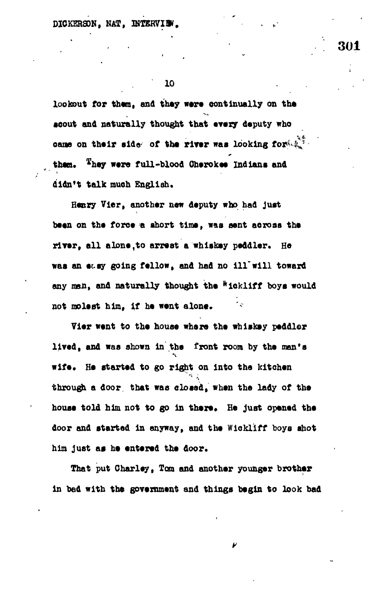$DIOKERSON$ , NAT, INTERVI!

**10 . .**

**lookout for them, and they were continually on the aeout and naturally thought that every deputy who** came on their side of the river was looking for  $\tilde{\mathbb{R}}^2$ . **than, \*hey ware full-blood Oberokea Indiana and didn't talk much English.**

**Henry Vier, another new deputy who had juat been on the force a abort time, waa aent aeroas the rlTer9 all alone ,to arreat a whiskey peddler. He waa an ecay going fellow, and had no ill'will toward any man, and naturally thought the \*ickliff boya would** not molest him. if he went alone.

**Vier went to the houae where the whiekey peddler lived, and waa ahown in the front room by the man'a wife\* He started to go right on into the kitchen through a door that was closed, when the lady of the** house told him not to go in there. He just opened the **door and atartad in anyway, and the Wiokliff boya shot him juat aa he entered the door.**

**That put Charley, Tom and another younger brother in bad with the government and things begin to look bad**

V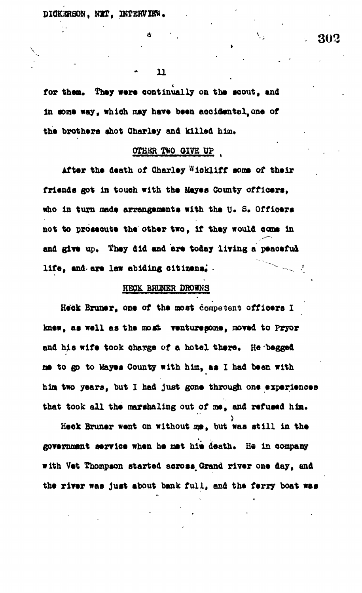$\mathbf n$ 

Δ

for them. They were continually on the scout, and in some way, which may have been accidental one of the brothers shot Charley and killed him.

## OTHER TWO GIVE UP

After the death of Charley Wickliff some of their friends got in touch with the Mayes County officers, who in turn made arrangements with the U. S. Officers not to prosecute the other two, if they would come in and give up. They did and are today living a peaceful life, and are law abiding citizens.

# HECK BRUNER DROWNS

Heck Bruner, one of the most competent officers I knew, as well as the most venturegome, moved to Pryor and his wife took charge of a hotel there. He begged me to go to Mayes County with him, as I had been with him two years, but I had just gone through one experiences that took all the marshaling out of me, and refused him.

Heck Bruner went on without me, but was still in the government service when he met him death. He in company with Vet Thompson started across Grand river one day, and the river was just about bank full, and the ferry boat was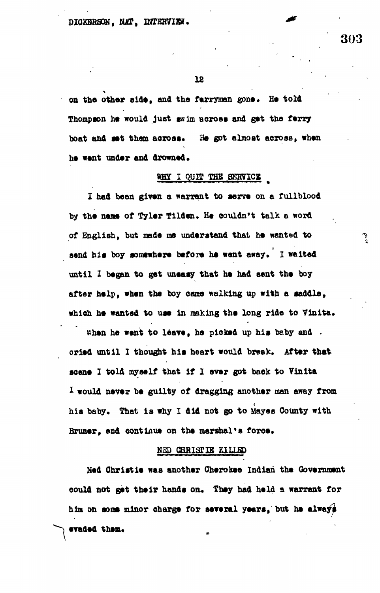on the other side, and the ferryman gone. He told **Thompson he would just swim feeroas and get tho ferry boat and eet them aoroas. Ha got almost aerose, when** he went under and drowned.

## WHY I QUIT THE SERVICE

**I had been given a warrant to eerve on a fullblood** by the name of Tyler Tilden. He couldn't talk a word of English, but made me understand that he wanted to send his boy somewhere before he went away. I waited **until X began to gat uneasy that he had aent the boy after help, when the boy came walking up with a saddle, which he wanted to use in making the long ride to Vinita,**

**When he went to leave, he pioked up his baby and**  cried until I thought his heart would break. After that **scene I told myself that if 1 over got back to Vinita 1 would never be guilty of dragging another man away from** his baby. That is why I did not go to Mayes County with Bruner, and continue on the marshal's force.

# **NED CHRISTIE KILLED**

**Ned Christie was another Cherokee Indian the Government** could not get their hands on. They had held a warrant for **him on some minor charge for several years, but he elwayg evaded them.** 

303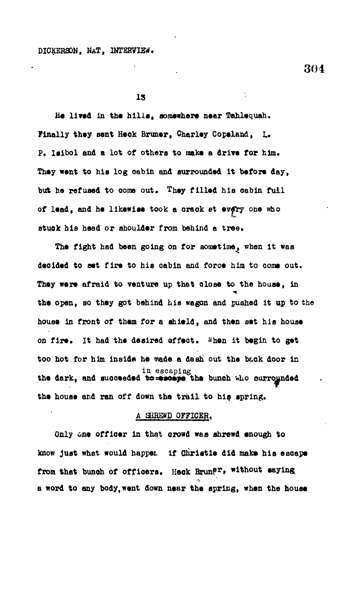**He lived In the hllla, somewhere near Tahlequah.** Finally they sent Heck Bruner, Charley Copeland. L. **P. Ioibol and a lot of others to make a drive for him. They went to hie log cabin and surrounded it before day, but he refused to come out. They filled his cabin full of lead, and he likewise took a orack et evtfry one who otuok his head or shoulder from behind a tree\***

The fight had been going on for sometime, when it was **decided to aet fire to his cabin and force him to come out. They were afraid to venture up that close to the house, in the open, so they got behind his wagon and pushed it up to the house in front of them for a shield, and then set hie house** on fire. It had the desired affect. When it begin to get **too hot for him inside he made a dash out the beck door In in escaping** the dark, and succeeded to=escape the bunch who ourrounded **the house and ran off down the trail to his spring.**

#### **A 3JREWD OFFICER.**

**Only one officer In that crowd was shrewd enough to know Just what would happet if Christle did make his escape** from that bunch of officers. Heck Brun<sup>gr</sup>, without saying **a word to any body, went down near the spring, when the house**